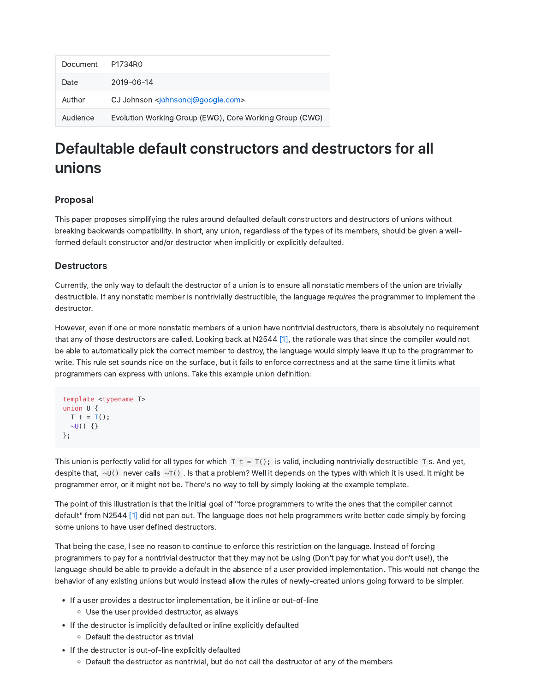| Document | P1734R0                                                  |
|----------|----------------------------------------------------------|
| Date     | 2019-06-14                                               |
| Author   | CJ Johnson <johnsoncj@google.com></johnsoncj@google.com> |
| Audience | Evolution Working Group (EWG), Core Working Group (CWG)  |

# Defaultable default constructors and destructors for all unions

# Proposal

This paper proposes simplifying the rules around defaulted default constructors and destructors of unions without breaking backwards compatibility. In short, any union, regardless of the types of its members, should be given a wellformed default constructor and/or destructor when implicitly or explicitly defaulted.

# **Destructors**

Currently, the only way to default the destructor of a union is to ensure all nonstatic members of the union are trivially destructible. If any nonstatic member is nontrivially destructible, the language requires the programmer to implement the destructor.

However, even if one or more nonstatic members of a union have nontrivial destructors, there is absolutely no requirement that any of those destructors are called. Looking back at N2544 [1], the rationale was that since the compiler would not be able to automatically pick the correct member to destroy, the language would simply leave it up to the programmer to write. This rule set sounds nice on the surface, but it fails to enforce correctness and at the same time it limits what programmers can express with unions. Take this example union definition:

```
template <typename T>
union U {
 T t = T();\sim U() {}
};
```
This union is perfectly valid for all types for which  $T t = T()$ ; is valid, including nontrivially destructible T s. And yet, despite that,  $\sim$ U() never calls  $\sim$ T(). Is that a problem? Well it depends on the types with which it is used. It might be programmer error, or it might not be. There's no way to tell by simply looking at the example template.

The point of this illustration is that the initial goal of "force programmers to write the ones that the compiler cannot default" from N2544 [1] did not pan out. The language does not help programmers write better code simply by forcing some unions to have user defined destructors.

That being the case, I see no reason to continue to enforce this restriction on the language. Instead of forcing programmers to pay for a nontrivial destructor that they may not be using (Don't pay for what you don't use!), the language should be able to provide a default in the absence of a user provided implementation. This would not change the behavior of any existing unions but would instead allow the rules of newly-created unions going forward to be simpler.

- If a user provides a destructor implementation, be it inline or out-of-line
	- Use the user provided destructor, as always
- If the destructor is implicitly defaulted or inline explicitly defaulted
	- Default the destructor as trivial
- If the destructor is out-of-line explicitly defaulted
	- Default the destructor as nontrivial, but do not call the destructor of any of the members